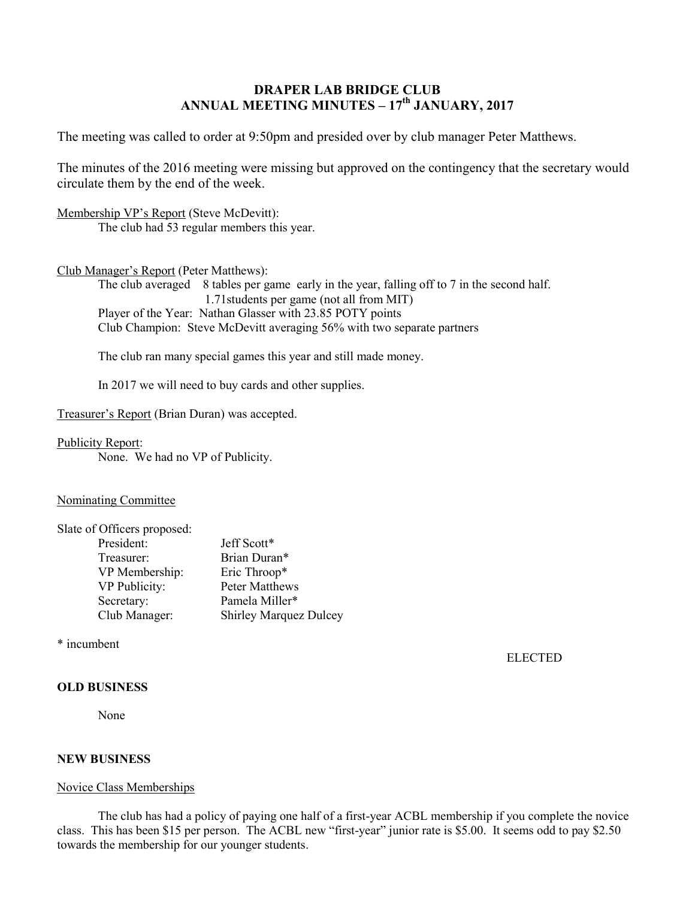# **DRAPER LAB BRIDGE CLUB ANNUAL MEETING MINUTES – 17th JANUARY, 2017**

The meeting was called to order at 9:50pm and presided over by club manager Peter Matthews.

The minutes of the 2016 meeting were missing but approved on the contingency that the secretary would circulate them by the end of the week.

Membership VP's Report (Steve McDevitt): The club had 53 regular members this year.

#### Club Manager's Report (Peter Matthews):

The club averaged 8 tables per game early in the year, falling off to 7 in the second half. 1.71students per game (not all from MIT) Player of the Year: Nathan Glasser with 23.85 POTY points Club Champion: Steve McDevitt averaging 56% with two separate partners

The club ran many special games this year and still made money.

In 2017 we will need to buy cards and other supplies.

Treasurer's Report (Brian Duran) was accepted.

### Publicity Report:

None. We had no VP of Publicity.

#### Nominating Committee

| Slate of Officers proposed: |                               |
|-----------------------------|-------------------------------|
| President:                  | Jeff Scott*                   |
| Treasurer:                  | Brian Duran*                  |
| VP Membership:              | Eric Throop*                  |
| VP Publicity:               | Peter Matthews                |
| Secretary:                  | Pamela Miller*                |
| Club Manager:               | <b>Shirley Marquez Dulcey</b> |

\* incumbent

ELECTED

## **OLD BUSINESS**

None

### **NEW BUSINESS**

#### Novice Class Memberships

The club has had a policy of paying one half of a first-year ACBL membership if you complete the novice class. This has been \$15 per person. The ACBL new "first-year" junior rate is \$5.00. It seems odd to pay \$2.50 towards the membership for our younger students.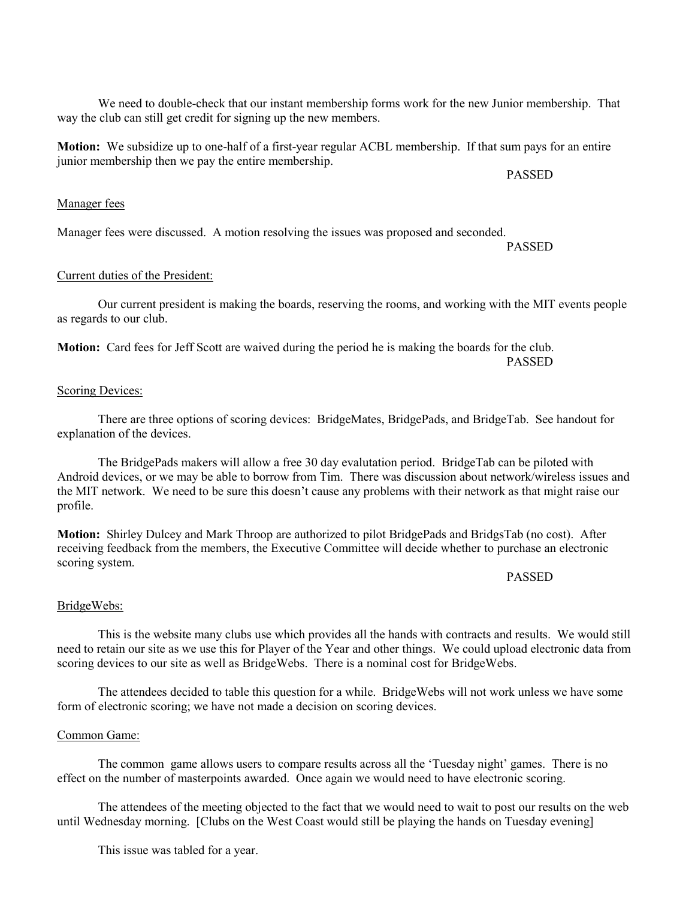**Motion:** We subsidize up to one-half of a first-year regular ACBL membership. If that sum pays for an entire junior membership then we pay the entire membership.

PASSED

### Manager fees

Manager fees were discussed. A motion resolving the issues was proposed and seconded.

PASSED

## Current duties of the President:

Our current president is making the boards, reserving the rooms, and working with the MIT events people as regards to our club.

**Motion:** Card fees for Jeff Scott are waived during the period he is making the boards for the club. PASSED

### Scoring Devices:

There are three options of scoring devices: BridgeMates, BridgePads, and BridgeTab. See handout for explanation of the devices.

The BridgePads makers will allow a free 30 day evalutation period. BridgeTab can be piloted with Android devices, or we may be able to borrow from Tim. There was discussion about network/wireless issues and the MIT network. We need to be sure this doesn't cause any problems with their network as that might raise our profile.

**Motion:** Shirley Dulcey and Mark Throop are authorized to pilot BridgePads and BridgsTab (no cost). After receiving feedback from the members, the Executive Committee will decide whether to purchase an electronic scoring system.

## PASSED

#### BridgeWebs:

This is the website many clubs use which provides all the hands with contracts and results. We would still need to retain our site as we use this for Player of the Year and other things. We could upload electronic data from scoring devices to our site as well as BridgeWebs. There is a nominal cost for BridgeWebs.

The attendees decided to table this question for a while. BridgeWebs will not work unless we have some form of electronic scoring; we have not made a decision on scoring devices.

#### Common Game:

The common game allows users to compare results across all the 'Tuesday night' games. There is no effect on the number of masterpoints awarded. Once again we would need to have electronic scoring.

The attendees of the meeting objected to the fact that we would need to wait to post our results on the web until Wednesday morning. [Clubs on the West Coast would still be playing the hands on Tuesday evening]

This issue was tabled for a year.